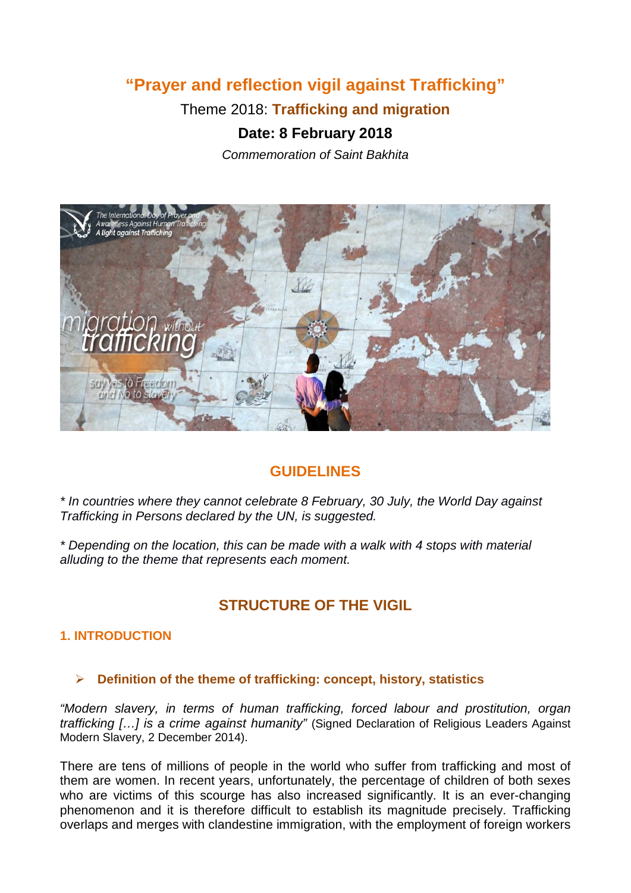# **"Prayer and reflection vigil against Trafficking"**

Theme 2018: **Trafficking and migration**

## **Date: 8 February 2018**

*Commemoration of Saint Bakhita*



## **GUIDELINES**

*\* In countries where they cannot celebrate 8 February, 30 July, the World Day against Trafficking in Persons declared by the UN, is suggested.*

*\* Depending on the location, this can be made with a walk with 4 stops with material alluding to the theme that represents each moment.*

## **STRUCTURE OF THE VIGIL**

### **1. INTRODUCTION**

### **Definition of the theme of trafficking: concept, history, statistics**

*"Modern slavery, in terms of human trafficking, forced labour and prostitution, organ trafficking […] is a crime against humanity"* (Signed Declaration of Religious Leaders Against Modern Slavery, 2 December 2014).

There are tens of millions of people in the world who suffer from trafficking and most of them are women. In recent years, unfortunately, the percentage of children of both sexes who are victims of this scourge has also increased significantly. It is an ever-changing phenomenon and it is therefore difficult to establish its magnitude precisely. Trafficking overlaps and merges with clandestine immigration, with the employment of foreign workers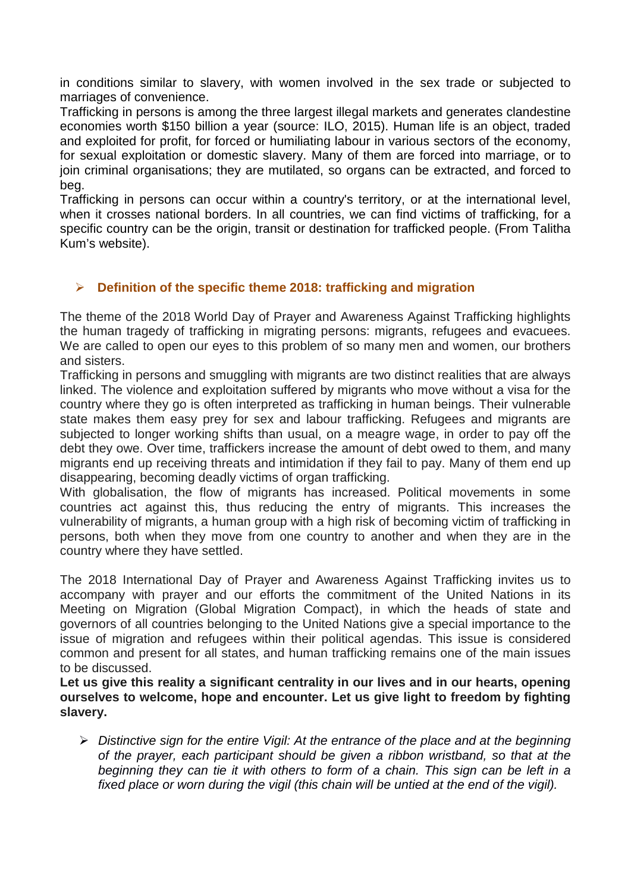in conditions similar to slavery, with women involved in the sex trade or subjected to marriages of convenience.

Trafficking in persons is among the three largest illegal markets and generates clandestine economies worth \$150 billion a year (source: ILO, 2015). Human life is an object, traded and exploited for profit, for forced or humiliating labour in various sectors of the economy, for sexual exploitation or domestic slavery. Many of them are forced into marriage, or to join criminal organisations; they are mutilated, so organs can be extracted, and forced to beg.

Trafficking in persons can occur within a country's territory, or at the international level, when it crosses national borders. In all countries, we can find victims of trafficking, for a specific country can be the origin, transit or destination for trafficked people. (From Talitha Kum's website).

#### **Definition of the specific theme 2018: trafficking and migration**

The theme of the 2018 World Day of Prayer and Awareness Against Trafficking highlights the human tragedy of trafficking in migrating persons: migrants, refugees and evacuees. We are called to open our eyes to this problem of so many men and women, our brothers and sisters.

Trafficking in persons and smuggling with migrants are two distinct realities that are always linked. The violence and exploitation suffered by migrants who move without a visa for the country where they go is often interpreted as trafficking in human beings. Their vulnerable state makes them easy prey for sex and labour trafficking. Refugees and migrants are subjected to longer working shifts than usual, on a meagre wage, in order to pay off the debt they owe. Over time, traffickers increase the amount of debt owed to them, and many migrants end up receiving threats and intimidation if they fail to pay. Many of them end up disappearing, becoming deadly victims of organ trafficking.

With globalisation, the flow of migrants has increased. Political movements in some countries act against this, thus reducing the entry of migrants. This increases the vulnerability of migrants, a human group with a high risk of becoming victim of trafficking in persons, both when they move from one country to another and when they are in the country where they have settled.

The 2018 International Day of Prayer and Awareness Against Trafficking invites us to accompany with prayer and our efforts the commitment of the United Nations in its Meeting on Migration (Global Migration Compact), in which the heads of state and governors of all countries belonging to the United Nations give a special importance to the issue of migration and refugees within their political agendas. This issue is considered common and present for all states, and human trafficking remains one of the main issues to be discussed.

**Let us give this reality a significant centrality in our lives and in our hearts, opening ourselves to welcome, hope and encounter. Let us give light to freedom by fighting slavery.**

 *Distinctive sign for the entire Vigil: At the entrance of the place and at the beginning of the prayer, each participant should be given a ribbon wristband, so that at the beginning they can tie it with others to form of a chain. This sign can be left in a fixed place or worn during the vigil (this chain will be untied at the end of the vigil).*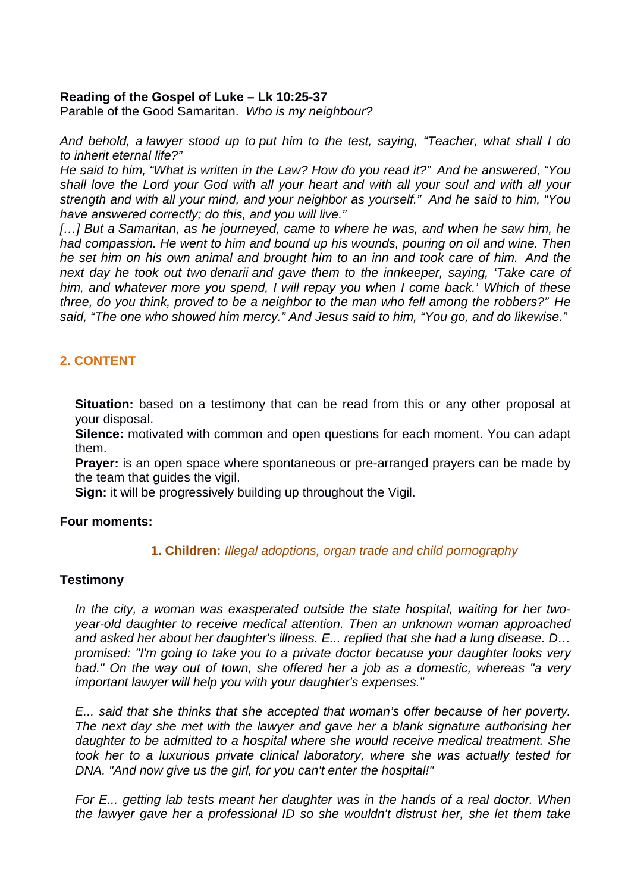#### **Reading of the Gospel of Luke – Lk 10:25-37**

Parable of the Good Samaritan. *Who is my neighbour?*

*And behold, a lawyer stood up to put him to the test, saying, "Teacher, what shall I do to inherit eternal life?"*

*He said to him, "What is written in the Law? How do you read it?" And he answered, "You shall love the Lord your God with all your heart and with all your soul and with all your strength and with all your mind, and your neighbor as yourself." And he said to him, "You have answered correctly; do this, and you will live."* 

*[…] But a Samaritan, as he journeyed, came to where he was, and when he saw him, he had compassion. He went to him and bound up his wounds, pouring on oil and wine. Then he set him on his own animal and brought him to an inn and took care of him. And the next day he took out two denarii and gave them to the innkeeper, saying, 'Take care of him, and whatever more you spend, I will repay you when I come back.' Which of these three, do you think, proved to be a neighbor to the man who fell among the robbers?" He said, "The one who showed him mercy." And Jesus said to him, "You go, and do likewise."*

### **2. CONTENT**

**Situation:** based on a testimony that can be read from this or any other proposal at your disposal.

**Silence:** motivated with common and open questions for each moment. You can adapt them.

**Prayer:** is an open space where spontaneous or pre-arranged prayers can be made by the team that guides the vigil.

**Sign:** it will be progressively building up throughout the Vigil.

#### **Four moments:**

#### **1. Children:** *Illegal adoptions, organ trade and child pornography*

#### **Testimony**

*In the city, a woman was exasperated outside the state hospital, waiting for her twoyear-old daughter to receive medical attention. Then an unknown woman approached and asked her about her daughter's illness. E... replied that she had a lung disease. D… promised: "I'm going to take you to a private doctor because your daughter looks very bad." On the way out of town, she offered her a job as a domestic, whereas "a very important lawyer will help you with your daughter's expenses."*

*E... said that she thinks that she accepted that woman's offer because of her poverty. The next day she met with the lawyer and gave her a blank signature authorising her daughter to be admitted to a hospital where she would receive medical treatment. She took her to a luxurious private clinical laboratory, where she was actually tested for DNA. "And now give us the girl, for you can't enter the hospital!"*

*For E... getting lab tests meant her daughter was in the hands of a real doctor. When the lawyer gave her a professional ID so she wouldn't distrust her, she let them take*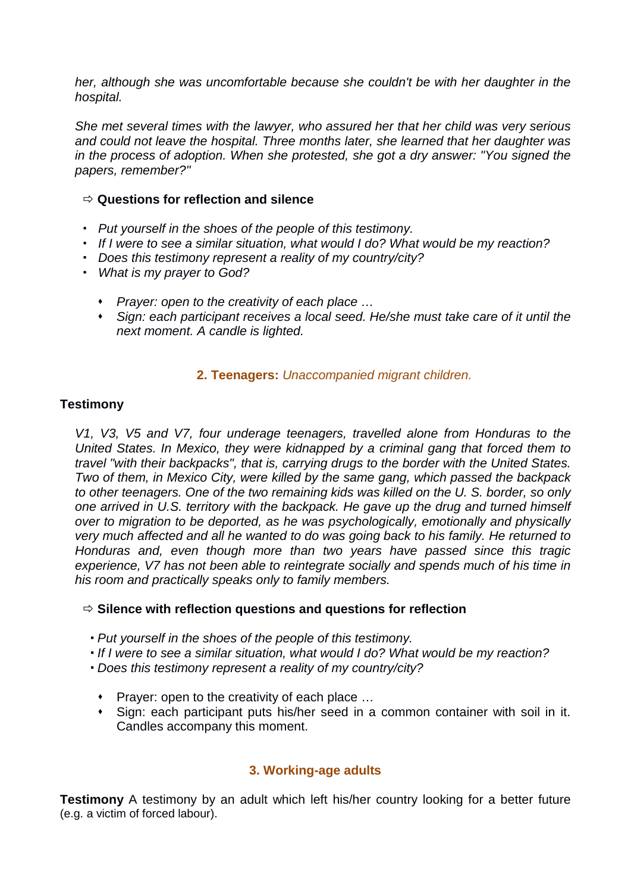*her, although she was uncomfortable because she couldn't be with her daughter in the hospital.*

*She met several times with the lawyer, who assured her that her child was very serious and could not leave the hospital. Three months later, she learned that her daughter was in the process of adoption. When she protested, she got a dry answer: "You signed the papers, remember?"*

#### **Questions for reflection and silence**

- *Put yourself in the shoes of the people of this testimony.*
- *If I were to see a similar situation, what would I do? What would be my reaction?*
- *Does this testimony represent a reality of my country/city?*
- *What is my prayer to God?* 
	- *Prayer: open to the creativity of each place …*
	- *Sign: each participant receives a local seed. He/she must take care of it until the next moment. A candle is lighted.*

#### **2. Teenagers:** *Unaccompanied migrant children.*

#### **Testimony**

*V1, V3, V5 and V7, four underage teenagers, travelled alone from Honduras to the United States. In Mexico, they were kidnapped by a criminal gang that forced them to travel "with their backpacks", that is, carrying drugs to the border with the United States. Two of them, in Mexico City, were killed by the same gang, which passed the backpack to other teenagers. One of the two remaining kids was killed on the U. S. border, so only one arrived in U.S. territory with the backpack. He gave up the drug and turned himself over to migration to be deported, as he was psychologically, emotionally and physically very much affected and all he wanted to do was going back to his family. He returned to Honduras and, even though more than two years have passed since this tragic experience, V7 has not been able to reintegrate socially and spends much of his time in his room and practically speaks only to family members.*

#### **Silence with reflection questions and questions for reflection**

- *Put yourself in the shoes of the people of this testimony.*
- *If I were to see a similar situation, what would I do? What would be my reaction?*
- *Does this testimony represent a reality of my country/city?*
- Prayer: open to the creativity of each place ...
- Sign: each participant puts his/her seed in a common container with soil in it. Candles accompany this moment.

#### **3. Working-age adults**

**Testimony** A testimony by an adult which left his/her country looking for a better future (e.g. a victim of forced labour).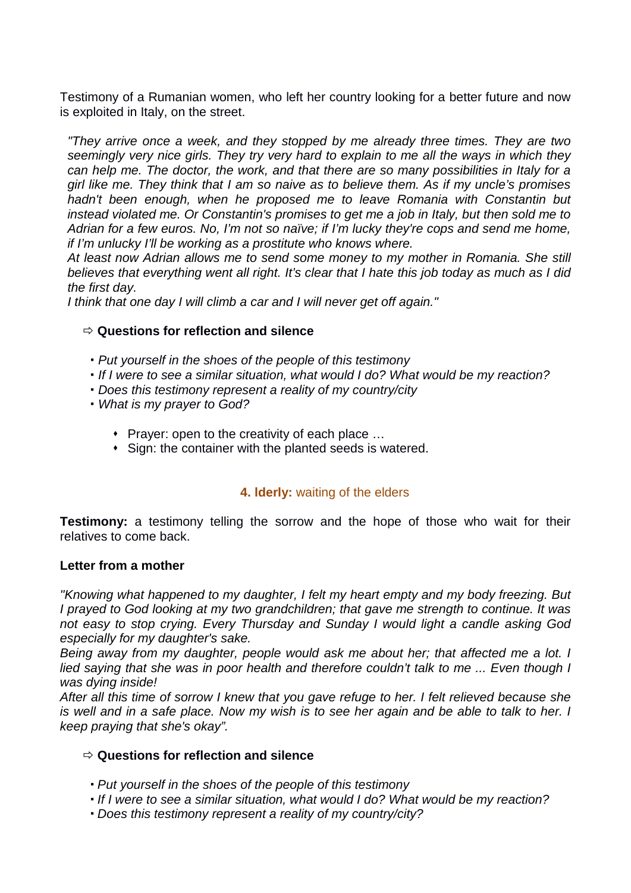Testimony of a Rumanian women, who left her country looking for a better future and now is exploited in Italy, on the street.

*"They arrive once a week, and they stopped by me already three times. They are two seemingly very nice girls. They try very hard to explain to me all the ways in which they can help me. The doctor, the work, and that there are so many possibilities in Italy for a girl like me. They think that I am so naive as to believe them. As if my uncle's promises hadn't been enough, when he proposed me to leave Romania with Constantin but instead violated me. Or Constantin's promises to get me a job in Italy, but then sold me to Adrian for a few euros. No, I'm not so naïve; if I'm lucky they're cops and send me home, if I'm unlucky I'll be working as a prostitute who knows where.*

*At least now Adrian allows me to send some money to my mother in Romania. She still believes that everything went all right. It's clear that I hate this job today as much as I did the first day.* 

*I think that one day I will climb a car and I will never get off again."*

#### **Questions for reflection and silence**

- *Put yourself in the shoes of the people of this testimony*
- *If I were to see a similar situation, what would I do? What would be my reaction?*
- *Does this testimony represent a reality of my country/city*
- *What is my prayer to God?*
	- ◆ Prayer: open to the creativity of each place ...
	- Sign: the container with the planted seeds is watered.

### **4. lderly:** waiting of the elders

**Testimony:** a testimony telling the sorrow and the hope of those who wait for their relatives to come back.

#### **Letter from a mother**

*"Knowing what happened to my daughter, I felt my heart empty and my body freezing. But I prayed to God looking at my two grandchildren; that gave me strength to continue. It was not easy to stop crying. Every Thursday and Sunday I would light a candle asking God especially for my daughter's sake.* 

*Being away from my daughter, people would ask me about her; that affected me a lot. I lied saving that she was in poor health and therefore couldn't talk to me ... Even though I was dying inside!*

*After all this time of sorrow I knew that you gave refuge to her. I felt relieved because she is well and in a safe place. Now my wish is to see her again and be able to talk to her. I keep praying that she's okay".*

#### **Questions for reflection and silence**

- *Put yourself in the shoes of the people of this testimony*
- *If I were to see a similar situation, what would I do? What would be my reaction?*
- *Does this testimony represent a reality of my country/city?*